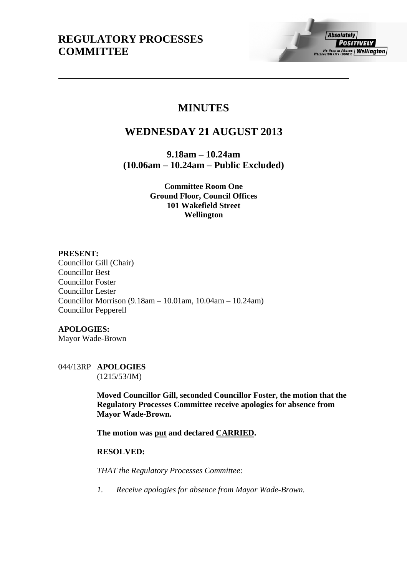# **MINUTES**

# **WEDNESDAY 21 AUGUST 2013**

**9.18am – 10.24am (10.06am – 10.24am – Public Excluded)** 

> **Committee Room One Ground Floor, Council Offices 101 Wakefield Street Wellington**

# **PRESENT:**

Councillor Gill (Chair) Councillor Best Councillor Foster Councillor Lester Councillor Morrison (9.18am – 10.01am, 10.04am – 10.24am) Councillor Pepperell

# **APOLOGIES:**

Mayor Wade-Brown

044/13RP **APOLOGIES**  (1215/53/IM)

> **Moved Councillor Gill, seconded Councillor Foster, the motion that the Regulatory Processes Committee receive apologies for absence from Mayor Wade-Brown.**

**The motion was put and declared CARRIED.** 

# **RESOLVED:**

*THAT the Regulatory Processes Committee:* 

*1. Receive apologies for absence from Mayor Wade-Brown.*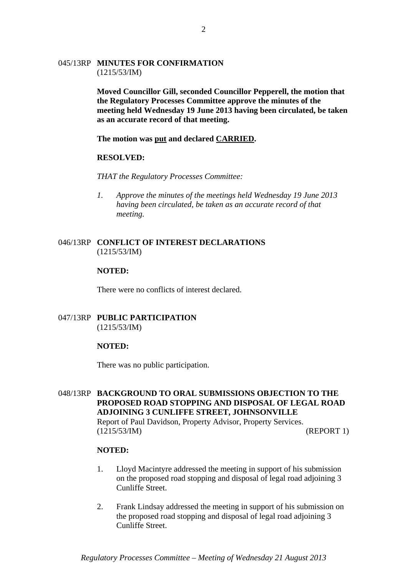## 045/13RP **MINUTES FOR CONFIRMATION**  (1215/53/IM)

**Moved Councillor Gill, seconded Councillor Pepperell, the motion that the Regulatory Processes Committee approve the minutes of the meeting held Wednesday 19 June 2013 having been circulated, be taken as an accurate record of that meeting.** 

**The motion was put and declared CARRIED.** 

#### **RESOLVED:**

*THAT the Regulatory Processes Committee:* 

*1. Approve the minutes of the meetings held Wednesday 19 June 2013 having been circulated, be taken as an accurate record of that meeting.* 

## 046/13RP **CONFLICT OF INTEREST DECLARATIONS**  (1215/53/IM)

#### **NOTED:**

There were no conflicts of interest declared.

#### 047/13RP **PUBLIC PARTICIPATION**  (1215/53/IM)

#### **NOTED:**

There was no public participation.

048/13RP **BACKGROUND TO ORAL SUBMISSIONS OBJECTION TO THE PROPOSED ROAD STOPPING AND DISPOSAL OF LEGAL ROAD ADJOINING 3 CUNLIFFE STREET, JOHNSONVILLE**  Report of Paul Davidson, Property Advisor, Property Services. (1215/53/IM) (REPORT 1)

## **NOTED:**

- 1. Lloyd Macintyre addressed the meeting in support of his submission on the proposed road stopping and disposal of legal road adjoining 3 Cunliffe Street.
- 2. Frank Lindsay addressed the meeting in support of his submission on the proposed road stopping and disposal of legal road adjoining 3 Cunliffe Street.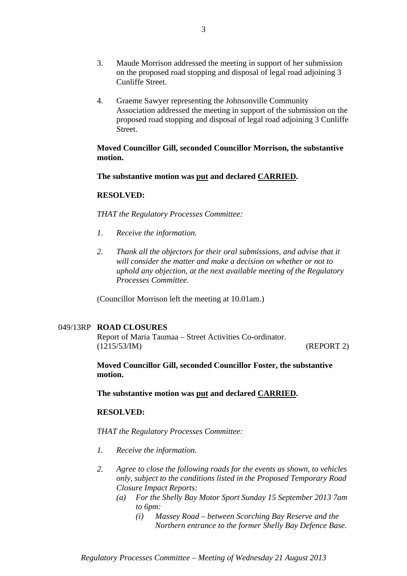- 3. Maude Morrison addressed the meeting in support of her submission on the proposed road stopping and disposal of legal road adjoining 3 Cunliffe Street.
- 4. Graeme Sawyer representing the Johnsonville Community Association addressed the meeting in support of the submission on the proposed road stopping and disposal of legal road adjoining 3 Cunliffe Street.

**Moved Councillor Gill, seconded Councillor Morrison, the substantive motion.** 

**The substantive motion was put and declared CARRIED.** 

## **RESOLVED:**

*THAT the Regulatory Processes Committee:*

- *1. Receive the information.*
- 2. Thank all the objectors for their oral submissions, and advise that it *will consider the matter and make a decision on whether or not to uphold any objection, at the next available meeting of the Regulatory Processes Committee.*

(Councillor Morrison left the meeting at 10.01am.)

# 049/13RP **ROAD CLOSURES**

Report of Maria Taumaa – Street Activities Co-ordinator. (1215/53/IM) (REPORT 2)

**Moved Councillor Gill, seconded Councillor Foster, the substantive motion.** 

**The substantive motion was put and declared CARRIED.** 

#### **RESOLVED:**

*THAT the Regulatory Processes Committee:* 

- *1. Receive the information.*
- *2. Agree to close the following roads for the events as shown, to vehicles only, subject to the conditions listed in the Proposed Temporary Road Closure Impact Reports:* 
	- *(a) For the Shelly Bay Motor Sport Sunday 15 September 2013 7am to 6pm:* 
		- *(i) Massey Road between Scorching Bay Reserve and the Northern entrance to the former Shelly Bay Defence Base.*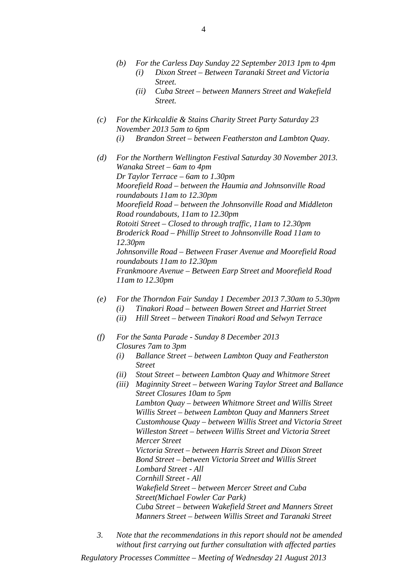- *(b) For the Carless Day Sunday 22 September 2013 1pm to 4pm (i) Dixon Street – Between Taranaki Street and Victoria* 
	- *Street. (ii) Cuba Street – between Manners Street and Wakefield Street.*
- *(c) For the Kirkcaldie & Stains Charity Street Party Saturday 23 November 2013 5am to 6pm* 
	- *(i) Brandon Street between Featherston and Lambton Quay.*
- *(d) For the Northern Wellington Festival Saturday 30 November 2013. Wanaka Street – 6am to 4pm Dr Taylor Terrace – 6am to 1.30pm Moorefield Road – between the Haumia and Johnsonville Road roundabouts 11am to 12.30pm Moorefield Road – between the Johnsonville Road and Middleton Road roundabouts, 11am to 12.30pm Rotoiti Street – Closed to through traffic, 11am to 12.30pm Broderick Road – Phillip Street to Johnsonville Road 11am to 12.30pm Johnsonville Road – Between Fraser Avenue and Moorefield Road roundabouts 11am to 12.30pm Frankmoore Avenue – Between Earp Street and Moorefield Road 11am to 12.30pm*
- *(e) For the Thorndon Fair Sunday 1 December 2013 7.30am to 5.30pm (i) Tinakori Road – between Bowen Street and Harriet Street* 
	- *(ii) Hill Street between Tinakori Road and Selwyn Terrace*
- *(f) For the Santa Parade Sunday 8 December 2013 Closures 7am to 3pm* 
	- *(i) Ballance Street between Lambton Quay and Featherston Street*
	- *(ii) Stout Street between Lambton Quay and Whitmore Street*
	- *(iii) Maginnity Street between Waring Taylor Street and Ballance Street Closures 10am to 5pm Lambton Quay – between Whitmore Street and Willis Street Willis Street – between Lambton Quay and Manners Street Customhouse Quay – between Willis Street and Victoria Street Willeston Street – between Willis Street and Victoria Street Mercer Street Victoria Street – between Harris Street and Dixon Street Bond Street – between Victoria Street and Willis Street Lombard Street - All Cornhill Street - All Wakefield Street – between Mercer Street and Cuba Street(Michael Fowler Car Park) Cuba Street – between Wakefield Street and Manners Street Manners Street – between Willis Street and Taranaki Street*
- *3. Note that the recommendations in this report should not be amended without first carrying out further consultation with affected parties*

*Regulatory Processes Committee – Meeting of Wednesday 21 August 2013*

4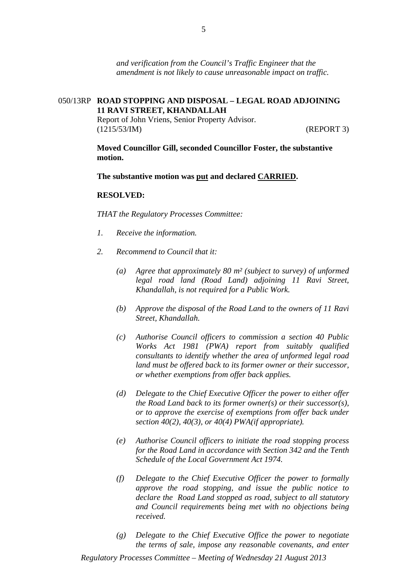*and verification from the Council's Traffic Engineer that the amendment is not likely to cause unreasonable impact on traffic.* 

# 050/13RP **ROAD STOPPING AND DISPOSAL – LEGAL ROAD ADJOINING 11 RAVI STREET, KHANDALLAH**

Report of John Vriens, Senior Property Advisor. (1215/53/IM) (REPORT 3)

**Moved Councillor Gill, seconded Councillor Foster, the substantive motion.** 

**The substantive motion was put and declared CARRIED.** 

#### **RESOLVED:**

*THAT the Regulatory Processes Committee:*

- *1. Receive the information.*
- *2. Recommend to Council that it:* 
	- *(a) Agree that approximately 80 m² (subject to survey) of unformed legal road land (Road Land) adjoining 11 Ravi Street, Khandallah, is not required for a Public Work.*
	- *(b) Approve the disposal of the Road Land to the owners of 11 Ravi Street, Khandallah.*
	- *(c) Authorise Council officers to commission a section 40 Public Works Act 1981 (PWA) report from suitably qualified consultants to identify whether the area of unformed legal road land must be offered back to its former owner or their successor, or whether exemptions from offer back applies.*
	- *(d) Delegate to the Chief Executive Officer the power to either offer the Road Land back to its former owner(s) or their successor(s), or to approve the exercise of exemptions from offer back under section 40(2), 40(3), or 40(4) PWA(if appropriate).*
	- *(e) Authorise Council officers to initiate the road stopping process for the Road Land in accordance with Section 342 and the Tenth Schedule of the Local Government Act 1974.*
	- *(f) Delegate to the Chief Executive Officer the power to formally approve the road stopping, and issue the public notice to declare the Road Land stopped as road, subject to all statutory and Council requirements being met with no objections being received.*
	- *(g) Delegate to the Chief Executive Office the power to negotiate the terms of sale, impose any reasonable covenants, and enter*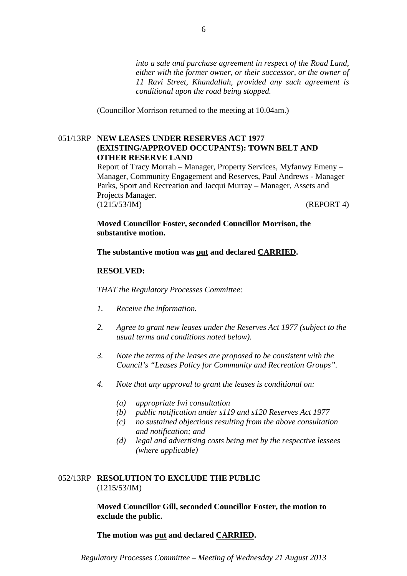*into a sale and purchase agreement in respect of the Road Land, either with the former owner, or their successor, or the owner of 11 Ravi Street, Khandallah, provided any such agreement is conditional upon the road being stopped.* 

(Councillor Morrison returned to the meeting at 10.04am.)

# 051/13RP **NEW LEASES UNDER RESERVES ACT 1977 (EXISTING/APPROVED OCCUPANTS): TOWN BELT AND OTHER RESERVE LAND**

Report of Tracy Morrah – Manager, Property Services, Myfanwy Emeny – Manager, Community Engagement and Reserves, Paul Andrews - Manager Parks, Sport and Recreation and Jacqui Murray – Manager, Assets and Projects Manager. (1215/53/IM) (REPORT 4)

**Moved Councillor Foster, seconded Councillor Morrison, the substantive motion.** 

**The substantive motion was put and declared CARRIED.** 

## **RESOLVED:**

*THAT the Regulatory Processes Committee:*

- *1. Receive the information.*
- *2. Agree to grant new leases under the Reserves Act 1977 (subject to the usual terms and conditions noted below).*
- *3. Note the terms of the leases are proposed to be consistent with the Council's "Leases Policy for Community and Recreation Groups".*
- *4. Note that any approval to grant the leases is conditional on:* 
	- *(a) appropriate Iwi consultation*
	- *(b) public notification under s119 and s120 Reserves Act 1977*
	- *(c) no sustained objections resulting from the above consultation and notification; and*
	- *(d) legal and advertising costs being met by the respective lessees (where applicable)*

## 052/13RP **RESOLUTION TO EXCLUDE THE PUBLIC**  (1215/53/IM)

**Moved Councillor Gill, seconded Councillor Foster, the motion to exclude the public.** 

**The motion was put and declared CARRIED.**